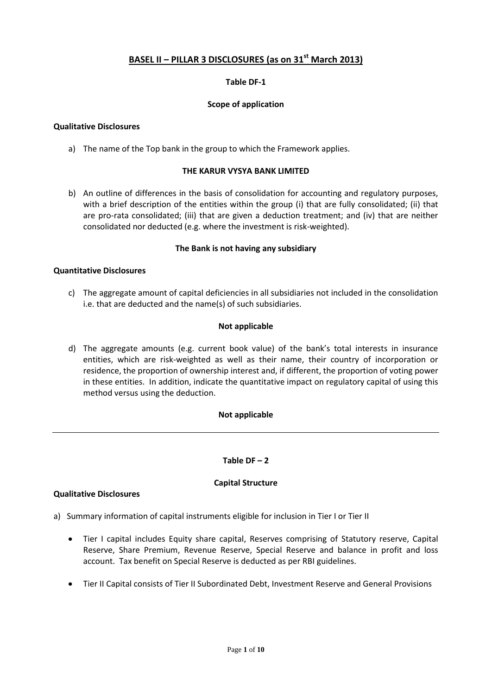# **BASEL II – PILLAR 3 DISCLOSURES (as on 31st March 2013)**

### **Table DF-1**

### **Scope of application**

### **Qualitative Disclosures**

a) The name of the Top bank in the group to which the Framework applies.

### **THE KARUR VYSYA BANK LIMITED**

b) An outline of differences in the basis of consolidation for accounting and regulatory purposes, with a brief description of the entities within the group (i) that are fully consolidated; (ii) that are pro-rata consolidated; (iii) that are given a deduction treatment; and (iv) that are neither consolidated nor deducted (e.g. where the investment is risk-weighted).

### **The Bank is not having any subsidiary**

#### **Quantitative Disclosures**

c) The aggregate amount of capital deficiencies in all subsidiaries not included in the consolidation i.e. that are deducted and the name(s) of such subsidiaries.

#### **Not applicable**

d) The aggregate amounts (e.g. current book value) of the bank's total interests in insurance entities, which are risk-weighted as well as their name, their country of incorporation or residence, the proportion of ownership interest and, if different, the proportion of voting power in these entities. In addition, indicate the quantitative impact on regulatory capital of using this method versus using the deduction.

### **Not applicable**

### Table  $DF - 2$

### **Capital Structure**

#### **Qualitative Disclosures**

- a) Summary information of capital instruments eligible for inclusion in Tier I or Tier II
	- Tier I capital includes Equity share capital, Reserves comprising of Statutory reserve, Capital Reserve, Share Premium, Revenue Reserve, Special Reserve and balance in profit and loss account. Tax benefit on Special Reserve is deducted as per RBI guidelines.
	- Tier II Capital consists of Tier II Subordinated Debt, Investment Reserve and General Provisions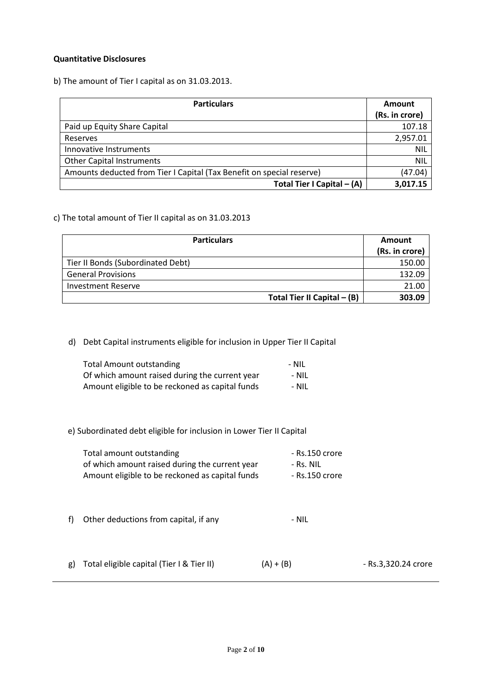### **Quantitative Disclosures**

b) The amount of Tier I capital as on 31.03.2013.

| <b>Particulars</b>                                                    | Amount         |  |
|-----------------------------------------------------------------------|----------------|--|
|                                                                       | (Rs. in crore) |  |
| Paid up Equity Share Capital                                          | 107.18         |  |
| Reserves                                                              | 2,957.01       |  |
| Innovative Instruments                                                | <b>NIL</b>     |  |
| <b>Other Capital Instruments</b>                                      | <b>NIL</b>     |  |
| Amounts deducted from Tier I Capital (Tax Benefit on special reserve) | (47.04)        |  |
| Total Tier I Capital - (A)                                            | 3,017.15       |  |

### c) The total amount of Tier II capital as on 31.03.2013

| <b>Particulars</b>                | Amount         |
|-----------------------------------|----------------|
|                                   | (Rs. in crore) |
| Tier II Bonds (Subordinated Debt) | 150.00         |
| <b>General Provisions</b>         | 132.09         |
| <b>Investment Reserve</b>         | 21.00          |
| Total Tier II Capital $-$ (B)     | 303.09         |

d) Debt Capital instruments eligible for inclusion in Upper Tier II Capital

| <b>Total Amount outstanding</b>                 | - NIL |
|-------------------------------------------------|-------|
| Of which amount raised during the current year  | - Nil |
| Amount eligible to be reckoned as capital funds | - Nil |

e) Subordinated debt eligible for inclusion in Lower Tier II Capital

| Total amount outstanding                        | - Rs.150 crore |
|-------------------------------------------------|----------------|
| of which amount raised during the current year  | - Rs. NIL      |
| Amount eligible to be reckoned as capital funds | - Rs.150 crore |

- f) Other deductions from capital, if any Theorem 2011 NIL
- g) Total eligible capital (Tier I & Tier II)  $(A) + (B)$  Rs.3,320.24 crore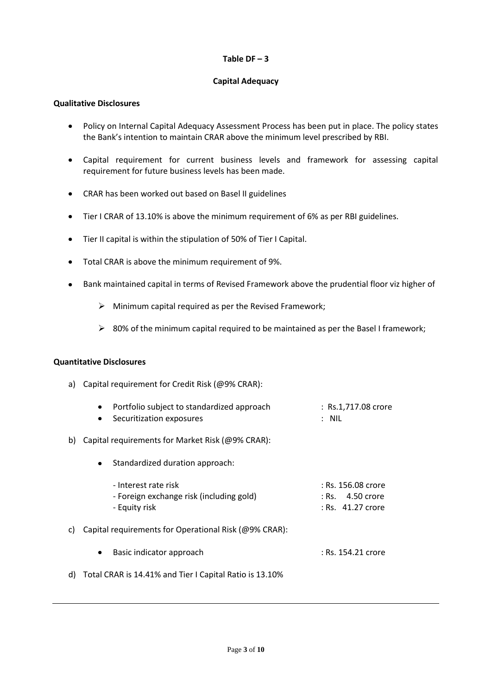### $Table DF - 3$

# **Capital Adequacy**

### **Qualitative Disclosures**

- Policy on Internal Capital Adequacy Assessment Process has been put in place. The policy states  $\bullet$ the Bank's intention to maintain CRAR above the minimum level prescribed by RBI.
- $\bullet$ Capital requirement for current business levels and framework for assessing capital requirement for future business levels has been made.
- CRAR has been worked out based on Basel II guidelines
- Tier I CRAR of 13.10% is above the minimum requirement of 6% as per RBI guidelines.
- Tier II capital is within the stipulation of 50% of Tier I Capital.
- Total CRAR is above the minimum requirement of 9%.
- Bank maintained capital in terms of Revised Framework above the prudential floor viz higher of  $\bullet$ 
	- $\triangleright$  Minimum capital required as per the Revised Framework;
	- $\geq$  80% of the minimum capital required to be maintained as per the Basel I framework;

### **Quantitative Disclosures**

a) Capital requirement for Credit Risk (@9% CRAR):

|     | Portfolio subject to standardized approach<br>Securitization exposures            | : Rs.1,717.08 crore<br>$:$ NIL                                    |
|-----|-----------------------------------------------------------------------------------|-------------------------------------------------------------------|
| b)  | Capital requirements for Market Risk (@9% CRAR):                                  |                                                                   |
|     | Standardized duration approach:<br>٠                                              |                                                                   |
|     | - Interest rate risk<br>- Foreign exchange risk (including gold)<br>- Equity risk | : Rs. 156.08 crore<br>$:$ Rs. $=$ 4.50 crore<br>: Rs. 41.27 crore |
| c). | Capital requirements for Operational Risk (@9% CRAR):                             |                                                                   |
|     | Basic indicator approach<br>٠                                                     | : Rs. 154.21 crore                                                |
|     | d) Total CRAR is 14.41% and Tier I Capital Ratio is 13.10%                        |                                                                   |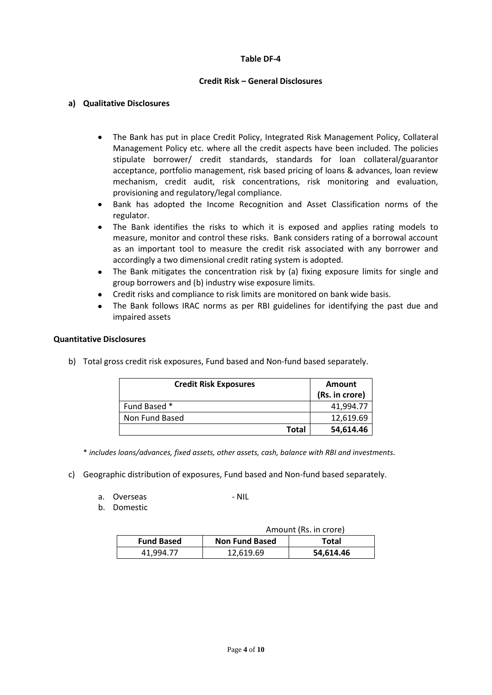### **Table DF-4**

### **Credit Risk – General Disclosures**

### **a) Qualitative Disclosures**

- The Bank has put in place Credit Policy, Integrated Risk Management Policy, Collateral  $\bullet$ Management Policy etc. where all the credit aspects have been included. The policies stipulate borrower/ credit standards, standards for loan collateral/guarantor acceptance, portfolio management, risk based pricing of loans & advances, loan review mechanism, credit audit, risk concentrations, risk monitoring and evaluation, provisioning and regulatory/legal compliance.
- Bank has adopted the Income Recognition and Asset Classification norms of the  $\bullet$ regulator.
- The Bank identifies the risks to which it is exposed and applies rating models to measure, monitor and control these risks. Bank considers rating of a borrowal account as an important tool to measure the credit risk associated with any borrower and accordingly a two dimensional credit rating system is adopted.
- The Bank mitigates the concentration risk by (a) fixing exposure limits for single and group borrowers and (b) industry wise exposure limits.
- Credit risks and compliance to risk limits are monitored on bank wide basis.
- The Bank follows IRAC norms as per RBI guidelines for identifying the past due and  $\bullet$ impaired assets

### **Quantitative Disclosures**

b) Total gross credit risk exposures, Fund based and Non-fund based separately.

| <b>Credit Risk Exposures</b> | <b>Amount</b><br>(Rs. in crore) |
|------------------------------|---------------------------------|
| Fund Based *                 | 41.994.77                       |
| Non Fund Based               | 12,619.69                       |
| Total                        | 54,614.46                       |

\* *includes loans/advances, fixed assets, other assets, cash, balance with RBI and investments.*

- c) Geographic distribution of exposures, Fund based and Non-fund based separately.
	- a. Overseas NIL
		-

b. Domestic

| Amount (Rs. in crore) |                       |           |
|-----------------------|-----------------------|-----------|
| <b>Fund Based</b>     | <b>Non Fund Based</b> | Total     |
| 41.994.77             | 12.619.69             | 54,614.46 |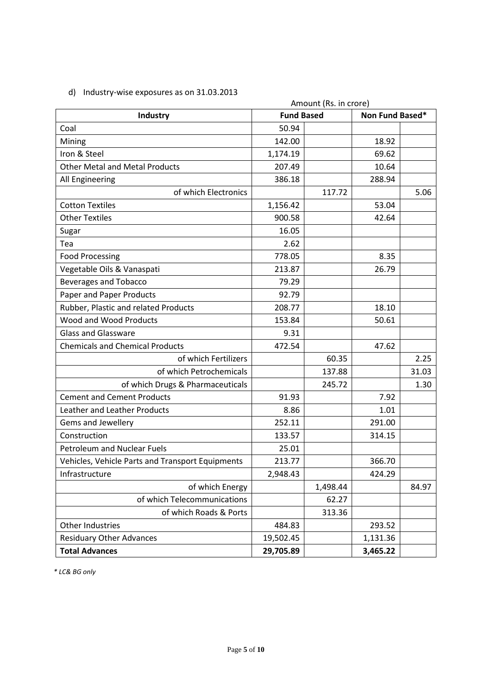# d) Industry-wise exposures as on 31.03.2013

| Amount (Rs. in crore)                            |                   |          |                 |       |
|--------------------------------------------------|-------------------|----------|-----------------|-------|
| <b>Industry</b>                                  | <b>Fund Based</b> |          | Non Fund Based* |       |
| Coal                                             | 50.94             |          |                 |       |
| Mining                                           | 142.00            |          | 18.92           |       |
| Iron & Steel                                     | 1,174.19          |          | 69.62           |       |
| <b>Other Metal and Metal Products</b>            | 207.49            |          | 10.64           |       |
| All Engineering                                  | 386.18            |          | 288.94          |       |
| of which Electronics                             |                   | 117.72   |                 | 5.06  |
| <b>Cotton Textiles</b>                           | 1,156.42          |          | 53.04           |       |
| <b>Other Textiles</b>                            | 900.58            |          | 42.64           |       |
| Sugar                                            | 16.05             |          |                 |       |
| Tea                                              | 2.62              |          |                 |       |
| <b>Food Processing</b>                           | 778.05            |          | 8.35            |       |
| Vegetable Oils & Vanaspati                       | 213.87            |          | 26.79           |       |
| <b>Beverages and Tobacco</b>                     | 79.29             |          |                 |       |
| Paper and Paper Products                         | 92.79             |          |                 |       |
| Rubber, Plastic and related Products             | 208.77            |          | 18.10           |       |
| Wood and Wood Products                           | 153.84            |          | 50.61           |       |
| <b>Glass and Glassware</b>                       | 9.31              |          |                 |       |
| <b>Chemicals and Chemical Products</b>           | 472.54            |          | 47.62           |       |
| of which Fertilizers                             |                   | 60.35    |                 | 2.25  |
| of which Petrochemicals                          |                   | 137.88   |                 | 31.03 |
| of which Drugs & Pharmaceuticals                 |                   | 245.72   |                 | 1.30  |
| <b>Cement and Cement Products</b>                | 91.93             |          | 7.92            |       |
| Leather and Leather Products                     | 8.86              |          | 1.01            |       |
| Gems and Jewellery                               | 252.11            |          | 291.00          |       |
| Construction                                     | 133.57            |          | 314.15          |       |
| <b>Petroleum and Nuclear Fuels</b>               | 25.01             |          |                 |       |
| Vehicles, Vehicle Parts and Transport Equipments | 213.77            |          | 366.70          |       |
| Infrastructure                                   | 2,948.43          |          | 424.29          |       |
| of which Energy                                  |                   | 1,498.44 |                 | 84.97 |
| of which Telecommunications                      |                   | 62.27    |                 |       |
| of which Roads & Ports                           |                   | 313.36   |                 |       |
| Other Industries                                 | 484.83            |          | 293.52          |       |
| <b>Residuary Other Advances</b>                  | 19,502.45         |          | 1,131.36        |       |
| <b>Total Advances</b>                            | 29,705.89         |          | 3,465.22        |       |

*\* LC& BG only*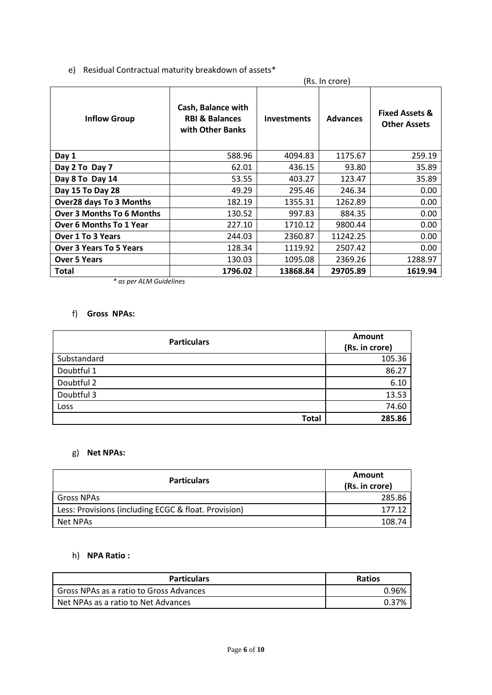# e) Residual Contractual maturity breakdown of assets\*

| (Rs. In crore)                   |                                                                     |                    |                 |                                                  |
|----------------------------------|---------------------------------------------------------------------|--------------------|-----------------|--------------------------------------------------|
| <b>Inflow Group</b>              | Cash, Balance with<br><b>RBI &amp; Balances</b><br>with Other Banks | <b>Investments</b> | <b>Advances</b> | <b>Fixed Assets &amp;</b><br><b>Other Assets</b> |
| Day 1                            | 588.96                                                              | 4094.83            | 1175.67         | 259.19                                           |
| Day 2 To Day 7                   | 62.01                                                               | 436.15             | 93.80           | 35.89                                            |
| Day 8 To Day 14                  | 53.55                                                               | 403.27             | 123.47          | 35.89                                            |
| Day 15 To Day 28                 | 49.29                                                               | 295.46             | 246.34          | 0.00                                             |
| <b>Over28 days To 3 Months</b>   | 182.19                                                              | 1355.31            | 1262.89         | 0.00                                             |
| <b>Over 3 Months To 6 Months</b> | 130.52                                                              | 997.83             | 884.35          | 0.00                                             |
| <b>Over 6 Months To 1 Year</b>   | 227.10                                                              | 1710.12            | 9800.44         | 0.00                                             |
| <b>Over 1 To 3 Years</b>         | 244.03                                                              | 2360.87            | 11242.25        | 0.00                                             |
| <b>Over 3 Years To 5 Years</b>   | 128.34                                                              | 1119.92            | 2507.42         | 0.00                                             |
| <b>Over 5 Years</b>              | 130.03                                                              | 1095.08            | 2369.26         | 1288.97                                          |
| Total                            | 1796.02                                                             | 13868.84           | 29705.89        | 1619.94                                          |

*\* as per ALM Guidelines*

# f) **Gross NPAs:**

| <b>Particulars</b> | Amount<br>(Rs. in crore) |
|--------------------|--------------------------|
| Substandard        | 105.36                   |
| Doubtful 1         | 86.27                    |
| Doubtful 2         | 6.10                     |
| Doubtful 3         | 13.53                    |
| Loss               | 74.60                    |
| <b>Total</b>       | 285.86                   |

# g) **Net NPAs:**

| <b>Particulars</b>                                   | Amount<br>(Rs. in crore) |
|------------------------------------------------------|--------------------------|
| <b>Gross NPAs</b>                                    | 285.86                   |
| Less: Provisions (including ECGC & float. Provision) | 177.12                   |
| Net NPAs                                             | 108.74                   |

# h) **NPA Ratio :**

| Particulars                             | <b>Ratios</b> |
|-----------------------------------------|---------------|
| Gross NPAs as a ratio to Gross Advances | በ ዓ6%         |
| Net NPAs as a ratio to Net Advances     | በ 37%         |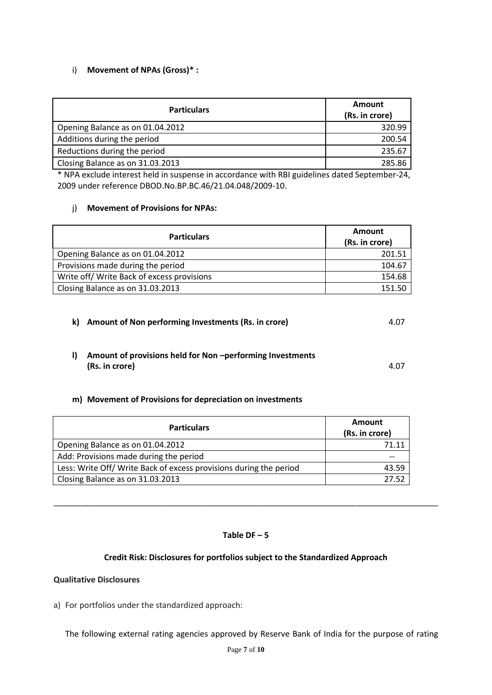# i) **Movement of NPAs (Gross)\* :**

| <b>Particulars</b>               | Amount<br>(Rs. in crore) |
|----------------------------------|--------------------------|
| Opening Balance as on 01.04.2012 | 320.99                   |
| Additions during the period      | 200.54                   |
| Reductions during the period     | 235.67                   |
| Closing Balance as on 31.03.2013 | 285.86                   |

\* NPA exclude interest held in suspense in accordance with RBI guidelines dated September-24, 2009 under reference DBOD.No.BP.BC.46/21.04.048/2009-10.

### j) **Movement of Provisions for NPAs:**

| <b>Particulars</b>                         | Amount         |
|--------------------------------------------|----------------|
|                                            | (Rs. in crore) |
| Opening Balance as on 01.04.2012           | 201.51         |
| Provisions made during the period          | 104.67         |
| Write off/ Write Back of excess provisions | 154.68         |
| Closing Balance as on 31.03.2013           | 151.50         |

**k) Amount of Non performing Investments (Rs. in crore)** 4.07 **l) Amount of provisions held for Non –performing Investments (Rs. in crore)** 4.07

# **m) Movement of Provisions for depreciation on investments**

| <b>Particulars</b>                                                 | Amount<br>(Rs. in crore) |
|--------------------------------------------------------------------|--------------------------|
| Opening Balance as on 01.04.2012                                   | 71.11                    |
| Add: Provisions made during the period                             |                          |
| Less: Write Off/ Write Back of excess provisions during the period | 43.59                    |
| Closing Balance as on 31.03.2013                                   | 27 52                    |

### **Table DF – 5**

\_\_\_\_\_\_\_\_\_\_\_\_\_\_\_\_\_\_\_\_\_\_\_\_\_\_\_\_\_\_\_\_\_\_\_\_\_\_\_\_\_\_\_\_\_\_\_\_\_\_\_\_\_\_\_\_\_\_\_\_\_\_\_\_\_\_\_\_\_\_\_\_\_\_\_\_\_\_\_\_\_\_\_\_\_

### **Credit Risk: Disclosures for portfolios subject to the Standardized Approach**

### **Qualitative Disclosures**

a) For portfolios under the standardized approach:

The following external rating agencies approved by Reserve Bank of India for the purpose of rating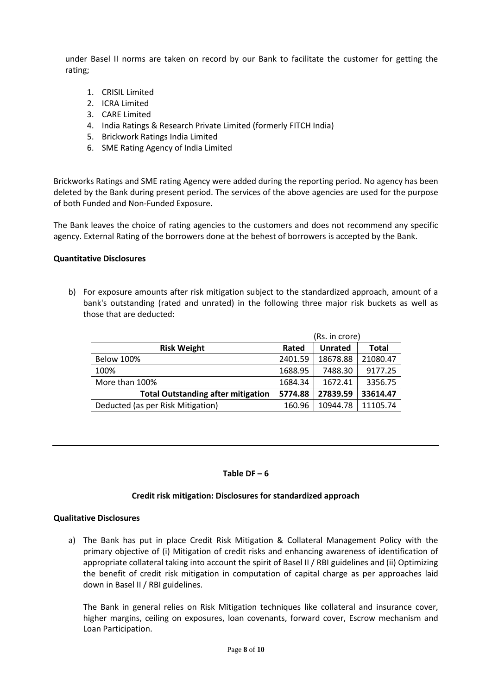under Basel II norms are taken on record by our Bank to facilitate the customer for getting the rating;

- 1. CRISIL Limited
- 2. ICRA Limited
- 3. CARE Limited
- 4. India Ratings & Research Private Limited (formerly FITCH India)
- 5. Brickwork Ratings India Limited
- 6. SME Rating Agency of India Limited

Brickworks Ratings and SME rating Agency were added during the reporting period. No agency has been deleted by the Bank during present period. The services of the above agencies are used for the purpose of both Funded and Non-Funded Exposure.

The Bank leaves the choice of rating agencies to the customers and does not recommend any specific agency. External Rating of the borrowers done at the behest of borrowers is accepted by the Bank.

### **Quantitative Disclosures**

b) For exposure amounts after risk mitigation subject to the standardized approach, amount of a bank's outstanding (rated and unrated) in the following three major risk buckets as well as those that are deducted:

|                                           | (Rs. in crore) |                |              |
|-------------------------------------------|----------------|----------------|--------------|
| <b>Risk Weight</b>                        | Rated          | <b>Unrated</b> | <b>Total</b> |
| <b>Below 100%</b>                         | 2401.59        | 18678.88       | 21080.47     |
| 100%                                      | 1688.95        | 7488.30        | 9177.25      |
| More than 100%                            | 1684.34        | 1672.41        | 3356.75      |
| <b>Total Outstanding after mitigation</b> | 5774.88        | 27839.59       | 33614.47     |
| Deducted (as per Risk Mitigation)         | 160.96         | 10944.78       | 11105.74     |

#### Table  $DF - 6$

#### **Credit risk mitigation: Disclosures for standardized approach**

#### **Qualitative Disclosures**

a) The Bank has put in place Credit Risk Mitigation & Collateral Management Policy with the primary objective of (i) Mitigation of credit risks and enhancing awareness of identification of appropriate collateral taking into account the spirit of Basel II / RBI guidelines and (ii) Optimizing the benefit of credit risk mitigation in computation of capital charge as per approaches laid down in Basel II / RBI guidelines.

The Bank in general relies on Risk Mitigation techniques like collateral and insurance cover, higher margins, ceiling on exposures, loan covenants, forward cover, Escrow mechanism and Loan Participation.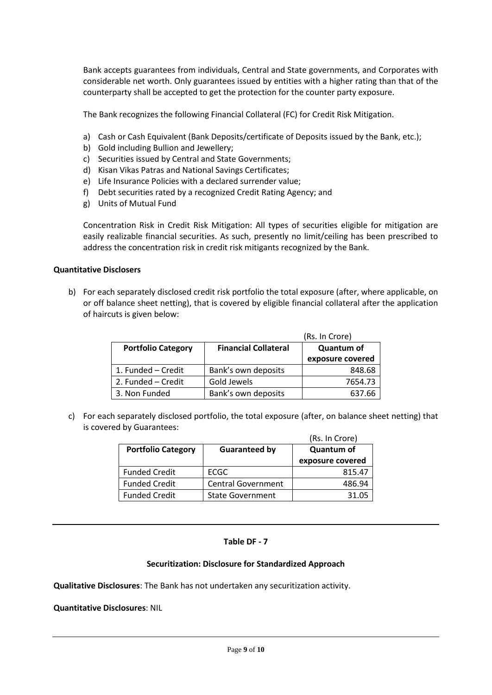Bank accepts guarantees from individuals, Central and State governments, and Corporates with considerable net worth. Only guarantees issued by entities with a higher rating than that of the counterparty shall be accepted to get the protection for the counter party exposure.

The Bank recognizes the following Financial Collateral (FC) for Credit Risk Mitigation.

- a) Cash or Cash Equivalent (Bank Deposits/certificate of Deposits issued by the Bank, etc.);
- b) Gold including Bullion and Jewellery;
- c) Securities issued by Central and State Governments;
- d) Kisan Vikas Patras and National Savings Certificates;
- e) Life Insurance Policies with a declared surrender value;
- f) Debt securities rated by a recognized Credit Rating Agency; and
- g) Units of Mutual Fund

Concentration Risk in Credit Risk Mitigation: All types of securities eligible for mitigation are easily realizable financial securities. As such, presently no limit/ceiling has been prescribed to address the concentration risk in credit risk mitigants recognized by the Bank.

### **Quantitative Disclosers**

b) For each separately disclosed credit risk portfolio the total exposure (after, where applicable, on or off balance sheet netting), that is covered by eligible financial collateral after the application of haircuts is given below:

|                           | (Rs. In Crore)              |                  |
|---------------------------|-----------------------------|------------------|
| <b>Portfolio Category</b> | <b>Financial Collateral</b> | Quantum of       |
|                           |                             | exposure covered |
| 1. Funded - Credit        | Bank's own deposits         | 848.68           |
| 2. Funded - Credit        | Gold Jewels                 | 7654.73          |
| 3. Non Funded             | Bank's own deposits         | 637.66           |

c) For each separately disclosed portfolio, the total exposure (after, on balance sheet netting) that is covered by Guarantees:

|                           |                           | (Rs. In Crore)    |
|---------------------------|---------------------------|-------------------|
| <b>Portfolio Category</b> | <b>Guaranteed by</b>      | <b>Quantum of</b> |
|                           |                           | exposure covered  |
| <b>Funded Credit</b>      | ECGC                      | 815.47            |
| <b>Funded Credit</b>      | <b>Central Government</b> | 486.94            |
| <b>Funded Credit</b>      | <b>State Government</b>   | 31.05             |

### **Table DF - 7**

### **Securitization: Disclosure for Standardized Approach**

**Qualitative Disclosures**: The Bank has not undertaken any securitization activity.

**Quantitative Disclosures**: NIL